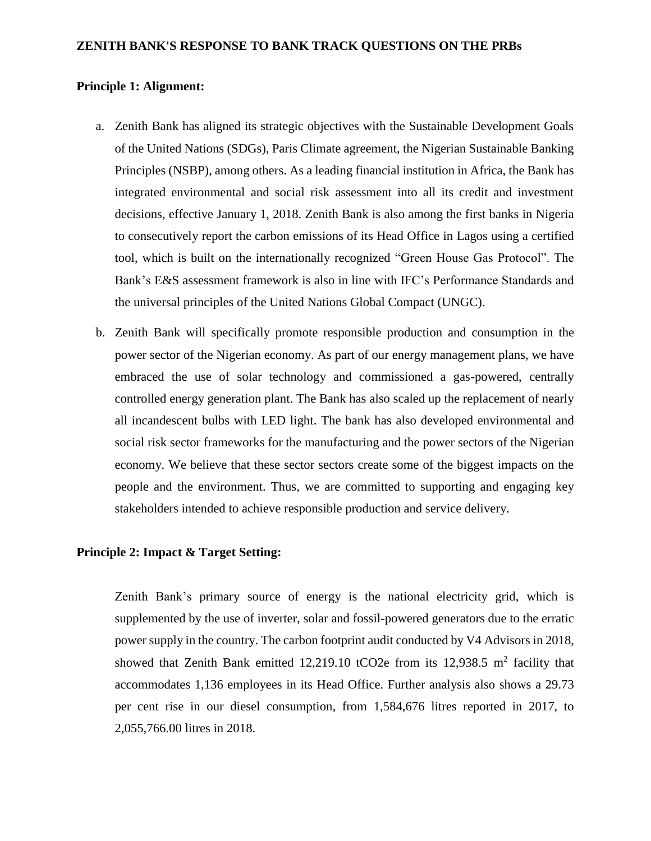#### **ZENITH BANK'S RESPONSE TO BANK TRACK QUESTIONS ON THE PRBs**

#### **Principle 1: Alignment:**

- a. Zenith Bank has aligned its strategic objectives with the Sustainable Development Goals of the United Nations (SDGs), Paris Climate agreement, the Nigerian Sustainable Banking Principles (NSBP), among others. As a leading financial institution in Africa, the Bank has integrated environmental and social risk assessment into all its credit and investment decisions, effective January 1, 2018. Zenith Bank is also among the first banks in Nigeria to consecutively report the carbon emissions of its Head Office in Lagos using a certified tool, which is built on the internationally recognized "Green House Gas Protocol". The Bank's E&S assessment framework is also in line with IFC's Performance Standards and the universal principles of the United Nations Global Compact (UNGC).
- b. Zenith Bank will specifically promote responsible production and consumption in the power sector of the Nigerian economy. As part of our energy management plans, we have embraced the use of solar technology and commissioned a gas-powered, centrally controlled energy generation plant. The Bank has also scaled up the replacement of nearly all incandescent bulbs with LED light. The bank has also developed environmental and social risk sector frameworks for the manufacturing and the power sectors of the Nigerian economy. We believe that these sector sectors create some of the biggest impacts on the people and the environment. Thus, we are committed to supporting and engaging key stakeholders intended to achieve responsible production and service delivery.

#### **Principle 2: Impact & Target Setting:**

Zenith Bank's primary source of energy is the national electricity grid, which is supplemented by the use of inverter, solar and fossil-powered generators due to the erratic power supply in the country. The carbon footprint audit conducted by V4 Advisors in 2018, showed that Zenith Bank emitted 12,219.10 tCO2e from its 12,938.5  $m^2$  facility that accommodates 1,136 employees in its Head Office. Further analysis also shows a 29.73 per cent rise in our diesel consumption, from 1,584,676 litres reported in 2017, to 2,055,766.00 litres in 2018.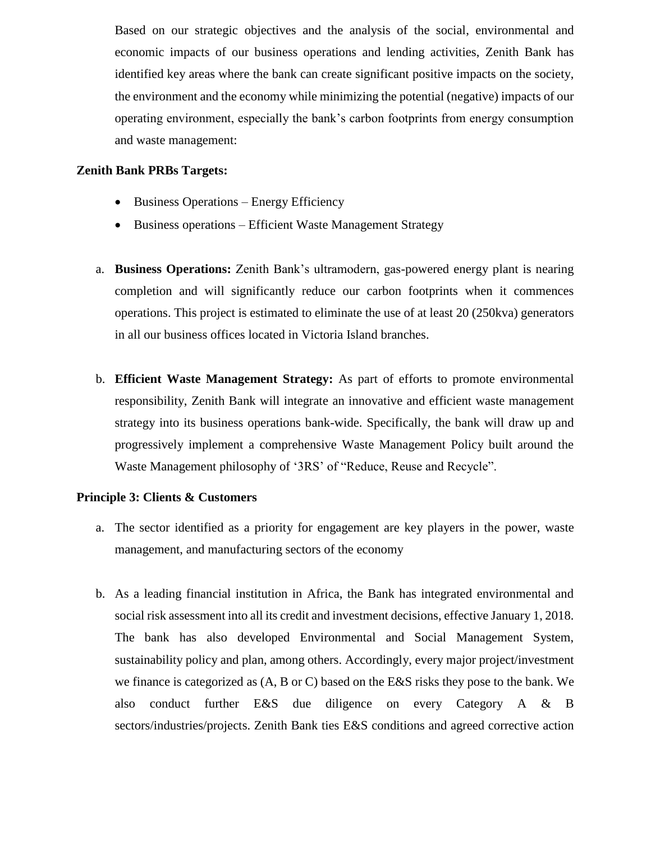Based on our strategic objectives and the analysis of the social, environmental and economic impacts of our business operations and lending activities, Zenith Bank has identified key areas where the bank can create significant positive impacts on the society, the environment and the economy while minimizing the potential (negative) impacts of our operating environment, especially the bank's carbon footprints from energy consumption and waste management:

### **Zenith Bank PRBs Targets:**

- Business Operations Energy Efficiency
- Business operations Efficient Waste Management Strategy
- a. **Business Operations:** Zenith Bank's ultramodern, gas-powered energy plant is nearing completion and will significantly reduce our carbon footprints when it commences operations. This project is estimated to eliminate the use of at least 20 (250kva) generators in all our business offices located in Victoria Island branches.
- b. **Efficient Waste Management Strategy:** As part of efforts to promote environmental responsibility, Zenith Bank will integrate an innovative and efficient waste management strategy into its business operations bank-wide. Specifically, the bank will draw up and progressively implement a comprehensive Waste Management Policy built around the Waste Management philosophy of '3RS' of "Reduce, Reuse and Recycle".

## **Principle 3: Clients & Customers**

- a. The sector identified as a priority for engagement are key players in the power, waste management, and manufacturing sectors of the economy
- b. As a leading financial institution in Africa, the Bank has integrated environmental and social risk assessment into all its credit and investment decisions, effective January 1, 2018. The bank has also developed Environmental and Social Management System, sustainability policy and plan, among others. Accordingly, every major project/investment we finance is categorized as (A, B or C) based on the E&S risks they pose to the bank. We also conduct further E&S due diligence on every Category A & B sectors/industries/projects. Zenith Bank ties E&S conditions and agreed corrective action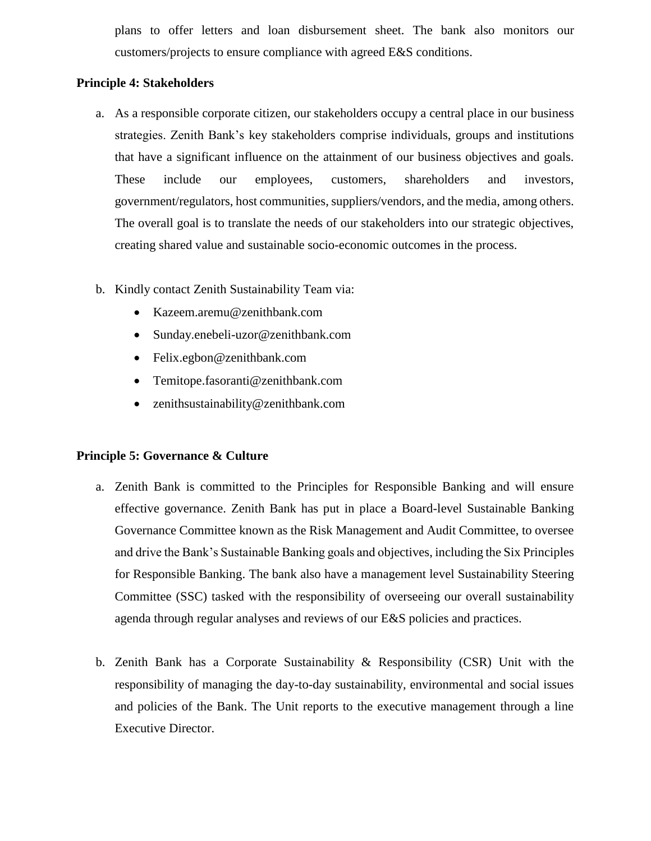plans to offer letters and loan disbursement sheet. The bank also monitors our customers/projects to ensure compliance with agreed E&S conditions.

# **Principle 4: Stakeholders**

- a. As a responsible corporate citizen, our stakeholders occupy a central place in our business strategies. Zenith Bank's key stakeholders comprise individuals, groups and institutions that have a significant influence on the attainment of our business objectives and goals. These include our employees, customers, shareholders and investors, government/regulators, host communities, suppliers/vendors, and the media, among others. The overall goal is to translate the needs of our stakeholders into our strategic objectives, creating shared value and sustainable socio-economic outcomes in the process.
- b. Kindly contact Zenith Sustainability Team via:
	- [Kazeem.aremu@zenithbank.com](mailto:Kazeem.aremu@zenithbank.com)
	- [Sunday.enebeli-uzor@zenithbank.com](mailto:Sunday.enebeli-uzor@zenithbank.com)
	- Felix.egbon@zenithbank.com
	- [Temitope.fasoranti@zenithbank.com](mailto:Temitope.fasoranti@zenithbank.com)
	- zenithsustainability@zenithbank.com

## **Principle 5: Governance & Culture**

- a. Zenith Bank is committed to the Principles for Responsible Banking and will ensure effective governance. Zenith Bank has put in place a Board-level Sustainable Banking Governance Committee known as the Risk Management and Audit Committee, to oversee and drive the Bank's Sustainable Banking goals and objectives, including the Six Principles for Responsible Banking. The bank also have a management level Sustainability Steering Committee (SSC) tasked with the responsibility of overseeing our overall sustainability agenda through regular analyses and reviews of our E&S policies and practices.
- b. Zenith Bank has a Corporate Sustainability & Responsibility (CSR) Unit with the responsibility of managing the day-to-day sustainability, environmental and social issues and policies of the Bank. The Unit reports to the executive management through a line Executive Director.